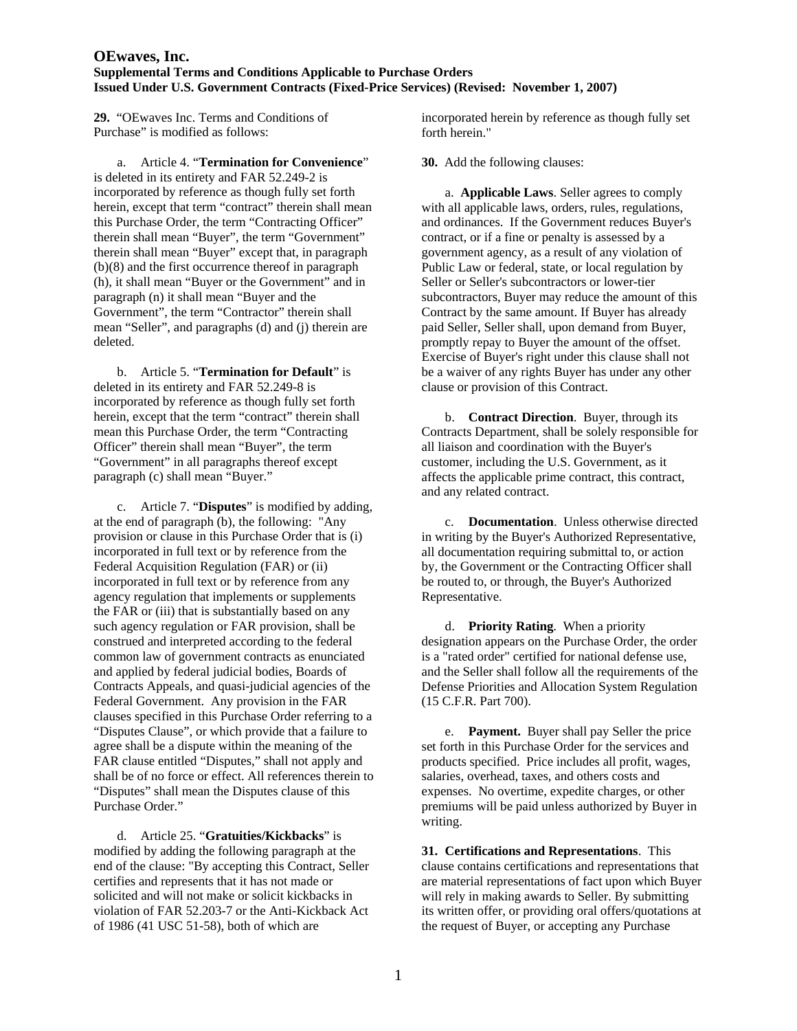**29.** "OEwaves Inc. Terms and Conditions of Purchase" is modified as follows:

 a. Article 4. "**Termination for Convenience**" is deleted in its entirety and FAR 52.249-2 is incorporated by reference as though fully set forth herein, except that term "contract" therein shall mean this Purchase Order, the term "Contracting Officer" therein shall mean "Buyer", the term "Government" therein shall mean "Buyer" except that, in paragraph (b)(8) and the first occurrence thereof in paragraph (h), it shall mean "Buyer or the Government" and in paragraph (n) it shall mean "Buyer and the Government", the term "Contractor" therein shall mean "Seller", and paragraphs (d) and (j) therein are deleted.

 b. Article 5. "**Termination for Default**" is deleted in its entirety and FAR 52.249-8 is incorporated by reference as though fully set forth herein, except that the term "contract" therein shall mean this Purchase Order, the term "Contracting Officer" therein shall mean "Buyer", the term "Government" in all paragraphs thereof except paragraph (c) shall mean "Buyer."

 c. Article 7. "**Disputes**" is modified by adding, at the end of paragraph (b), the following: "Any provision or clause in this Purchase Order that is (i) incorporated in full text or by reference from the Federal Acquisition Regulation (FAR) or (ii) incorporated in full text or by reference from any agency regulation that implements or supplements the FAR or (iii) that is substantially based on any such agency regulation or FAR provision, shall be construed and interpreted according to the federal common law of government contracts as enunciated and applied by federal judicial bodies, Boards of Contracts Appeals, and quasi-judicial agencies of the Federal Government. Any provision in the FAR clauses specified in this Purchase Order referring to a "Disputes Clause", or which provide that a failure to agree shall be a dispute within the meaning of the FAR clause entitled "Disputes," shall not apply and shall be of no force or effect. All references therein to "Disputes" shall mean the Disputes clause of this Purchase Order."

 d. Article 25. "**Gratuities/Kickbacks**" is modified by adding the following paragraph at the end of the clause: "By accepting this Contract, Seller certifies and represents that it has not made or solicited and will not make or solicit kickbacks in violation of FAR 52.203-7 or the Anti-Kickback Act of 1986 (41 USC 51-58), both of which are

incorporated herein by reference as though fully set forth herein."

**30.** Add the following clauses:

 a. **Applicable Laws**. Seller agrees to comply with all applicable laws, orders, rules, regulations, and ordinances. If the Government reduces Buyer's contract, or if a fine or penalty is assessed by a government agency, as a result of any violation of Public Law or federal, state, or local regulation by Seller or Seller's subcontractors or lower-tier subcontractors, Buyer may reduce the amount of this Contract by the same amount. If Buyer has already paid Seller, Seller shall, upon demand from Buyer, promptly repay to Buyer the amount of the offset. Exercise of Buyer's right under this clause shall not be a waiver of any rights Buyer has under any other clause or provision of this Contract.

 b. **Contract Direction**. Buyer, through its Contracts Department, shall be solely responsible for all liaison and coordination with the Buyer's customer, including the U.S. Government, as it affects the applicable prime contract, this contract, and any related contract.

 c. **Documentation**. Unless otherwise directed in writing by the Buyer's Authorized Representative, all documentation requiring submittal to, or action by, the Government or the Contracting Officer shall be routed to, or through, the Buyer's Authorized Representative.

 d. **Priority Rating**. When a priority designation appears on the Purchase Order, the order is a "rated order" certified for national defense use, and the Seller shall follow all the requirements of the Defense Priorities and Allocation System Regulation (15 C.F.R. Part 700).

 e. **Payment.** Buyer shall pay Seller the price set forth in this Purchase Order for the services and products specified. Price includes all profit, wages, salaries, overhead, taxes, and others costs and expenses. No overtime, expedite charges, or other premiums will be paid unless authorized by Buyer in writing.

**31. Certifications and Representations**. This clause contains certifications and representations that are material representations of fact upon which Buyer will rely in making awards to Seller. By submitting its written offer, or providing oral offers/quotations at the request of Buyer, or accepting any Purchase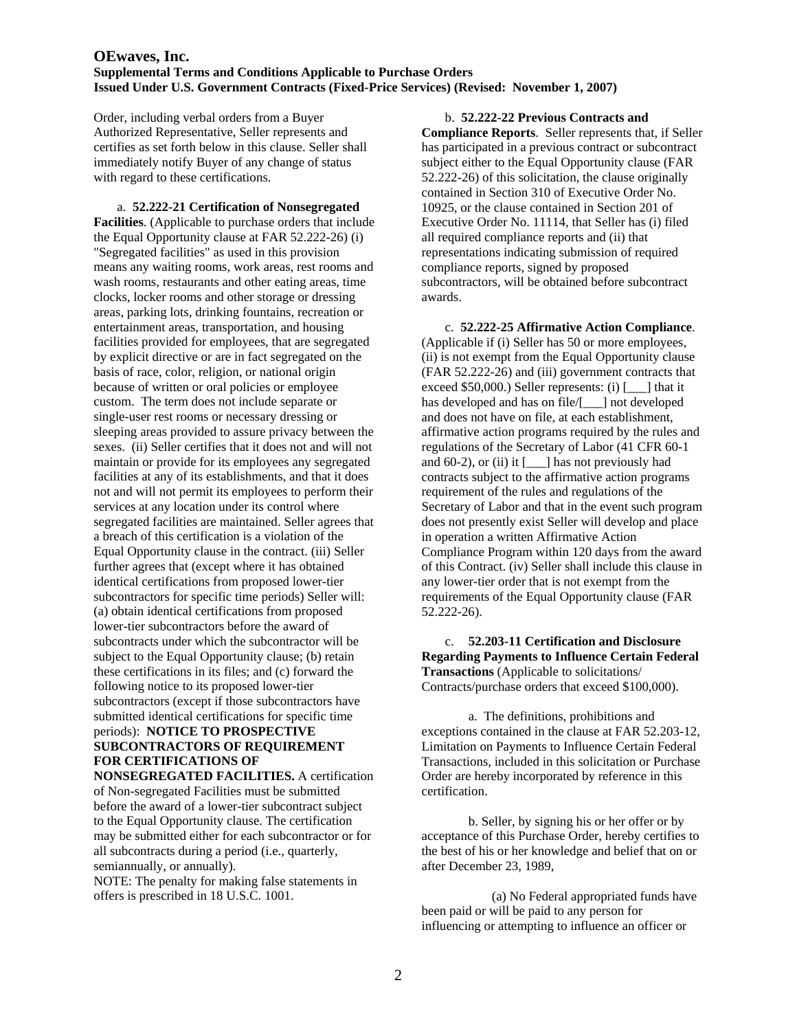Order, including verbal orders from a Buyer Authorized Representative, Seller represents and certifies as set forth below in this clause. Seller shall immediately notify Buyer of any change of status with regard to these certifications.

 a. **52.222-21 Certification of Nonsegregated Facilities**. (Applicable to purchase orders that include the Equal Opportunity clause at FAR 52.222-26) (i) "Segregated facilities" as used in this provision means any waiting rooms, work areas, rest rooms and wash rooms, restaurants and other eating areas, time clocks, locker rooms and other storage or dressing areas, parking lots, drinking fountains, recreation or entertainment areas, transportation, and housing facilities provided for employees, that are segregated by explicit directive or are in fact segregated on the basis of race, color, religion, or national origin because of written or oral policies or employee custom. The term does not include separate or single-user rest rooms or necessary dressing or sleeping areas provided to assure privacy between the sexes. (ii) Seller certifies that it does not and will not maintain or provide for its employees any segregated facilities at any of its establishments, and that it does not and will not permit its employees to perform their services at any location under its control where segregated facilities are maintained. Seller agrees that a breach of this certification is a violation of the Equal Opportunity clause in the contract. (iii) Seller further agrees that (except where it has obtained identical certifications from proposed lower-tier subcontractors for specific time periods) Seller will: (a) obtain identical certifications from proposed lower-tier subcontractors before the award of subcontracts under which the subcontractor will be subject to the Equal Opportunity clause; (b) retain these certifications in its files; and (c) forward the following notice to its proposed lower-tier subcontractors (except if those subcontractors have submitted identical certifications for specific time periods): **NOTICE TO PROSPECTIVE SUBCONTRACTORS OF REQUIREMENT FOR CERTIFICATIONS OF** 

**NONSEGREGATED FACILITIES.** A certification of Non-segregated Facilities must be submitted before the award of a lower-tier subcontract subject to the Equal Opportunity clause. The certification may be submitted either for each subcontractor or for all subcontracts during a period (i.e., quarterly, semiannually, or annually).

NOTE: The penalty for making false statements in offers is prescribed in 18 U.S.C. 1001.

 b. **52.222-22 Previous Contracts and Compliance Reports**. Seller represents that, if Seller has participated in a previous contract or subcontract subject either to the Equal Opportunity clause (FAR 52.222-26) of this solicitation, the clause originally contained in Section 310 of Executive Order No. 10925, or the clause contained in Section 201 of Executive Order No. 11114, that Seller has (i) filed all required compliance reports and (ii) that representations indicating submission of required compliance reports, signed by proposed subcontractors, will be obtained before subcontract awards.

 c. **52.222-25 Affirmative Action Compliance**. (Applicable if (i) Seller has 50 or more employees, (ii) is not exempt from the Equal Opportunity clause (FAR 52.222-26) and (iii) government contracts that exceed \$50,000.) Seller represents: (i) [\_\_\_] that it has developed and has on file/[  $\Box$ ] not developed and does not have on file, at each establishment, affirmative action programs required by the rules and regulations of the Secretary of Labor (41 CFR 60-1 and 60-2), or (ii) it [\_\_\_] has not previously had contracts subject to the affirmative action programs requirement of the rules and regulations of the Secretary of Labor and that in the event such program does not presently exist Seller will develop and place in operation a written Affirmative Action Compliance Program within 120 days from the award of this Contract. (iv) Seller shall include this clause in any lower-tier order that is not exempt from the requirements of the Equal Opportunity clause (FAR 52.222-26).

 c. **52.203-11 Certification and Disclosure Regarding Payments to Influence Certain Federal Transactions** (Applicable to solicitations/ Contracts/purchase orders that exceed \$100,000).

 a. The definitions, prohibitions and exceptions contained in the clause at FAR 52.203-12, Limitation on Payments to Influence Certain Federal Transactions, included in this solicitation or Purchase Order are hereby incorporated by reference in this certification.

 b. Seller, by signing his or her offer or by acceptance of this Purchase Order, hereby certifies to the best of his or her knowledge and belief that on or after December 23, 1989,

 (a) No Federal appropriated funds have been paid or will be paid to any person for influencing or attempting to influence an officer or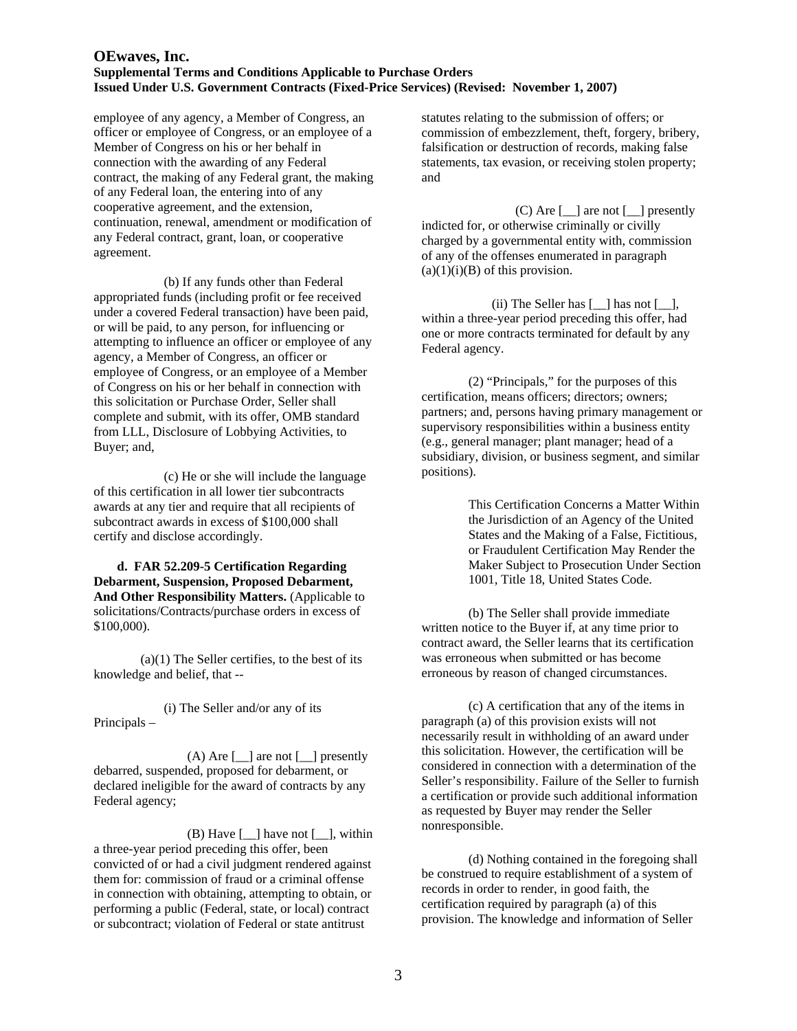employee of any agency, a Member of Congress, an officer or employee of Congress, or an employee of a Member of Congress on his or her behalf in connection with the awarding of any Federal contract, the making of any Federal grant, the making of any Federal loan, the entering into of any cooperative agreement, and the extension, continuation, renewal, amendment or modification of any Federal contract, grant, loan, or cooperative agreement.

 (b) If any funds other than Federal appropriated funds (including profit or fee received under a covered Federal transaction) have been paid, or will be paid, to any person, for influencing or attempting to influence an officer or employee of any agency, a Member of Congress, an officer or employee of Congress, or an employee of a Member of Congress on his or her behalf in connection with this solicitation or Purchase Order, Seller shall complete and submit, with its offer, OMB standard from LLL, Disclosure of Lobbying Activities, to Buyer; and,

 (c) He or she will include the language of this certification in all lower tier subcontracts awards at any tier and require that all recipients of subcontract awards in excess of \$100,000 shall certify and disclose accordingly.

**d. FAR 52.209-5 Certification Regarding Debarment, Suspension, Proposed Debarment, And Other Responsibility Matters.** (Applicable to solicitations/Contracts/purchase orders in excess of \$100,000).

 $(a)(1)$  The Seller certifies, to the best of its knowledge and belief, that --

(i) The Seller and/or any of its Principals –

 $(A)$  Are  $[\underline{\hspace{1cm}}]$  are not  $[\underline{\hspace{1cm}}]$  presently debarred, suspended, proposed for debarment, or declared ineligible for the award of contracts by any Federal agency;

 $(B)$  Have  $[\ ]$  have not  $[\ ]$ , within a three-year period preceding this offer, been convicted of or had a civil judgment rendered against them for: commission of fraud or a criminal offense in connection with obtaining, attempting to obtain, or performing a public (Federal, state, or local) contract or subcontract; violation of Federal or state antitrust

statutes relating to the submission of offers; or commission of embezzlement, theft, forgery, bribery, falsification or destruction of records, making false statements, tax evasion, or receiving stolen property; and

(C) Are  $\lceil \quad \rceil$  are not  $\lceil \quad \rceil$  presently indicted for, or otherwise criminally or civilly charged by a governmental entity with, commission of any of the offenses enumerated in paragraph  $(a)(1)(i)(B)$  of this provision.

(ii) The Seller has [\_\_] has not [\_\_], within a three-year period preceding this offer, had one or more contracts terminated for default by any Federal agency.

(2) "Principals," for the purposes of this certification, means officers; directors; owners; partners; and, persons having primary management or supervisory responsibilities within a business entity (e.g., general manager; plant manager; head of a subsidiary, division, or business segment, and similar positions).

> This Certification Concerns a Matter Within the Jurisdiction of an Agency of the United States and the Making of a False, Fictitious, or Fraudulent Certification May Render the Maker Subject to Prosecution Under Section 1001, Title 18, United States Code.

(b) The Seller shall provide immediate written notice to the Buyer if, at any time prior to contract award, the Seller learns that its certification was erroneous when submitted or has become erroneous by reason of changed circumstances.

 (c) A certification that any of the items in paragraph (a) of this provision exists will not necessarily result in withholding of an award under this solicitation. However, the certification will be considered in connection with a determination of the Seller's responsibility. Failure of the Seller to furnish a certification or provide such additional information as requested by Buyer may render the Seller nonresponsible.

(d) Nothing contained in the foregoing shall be construed to require establishment of a system of records in order to render, in good faith, the certification required by paragraph (a) of this provision. The knowledge and information of Seller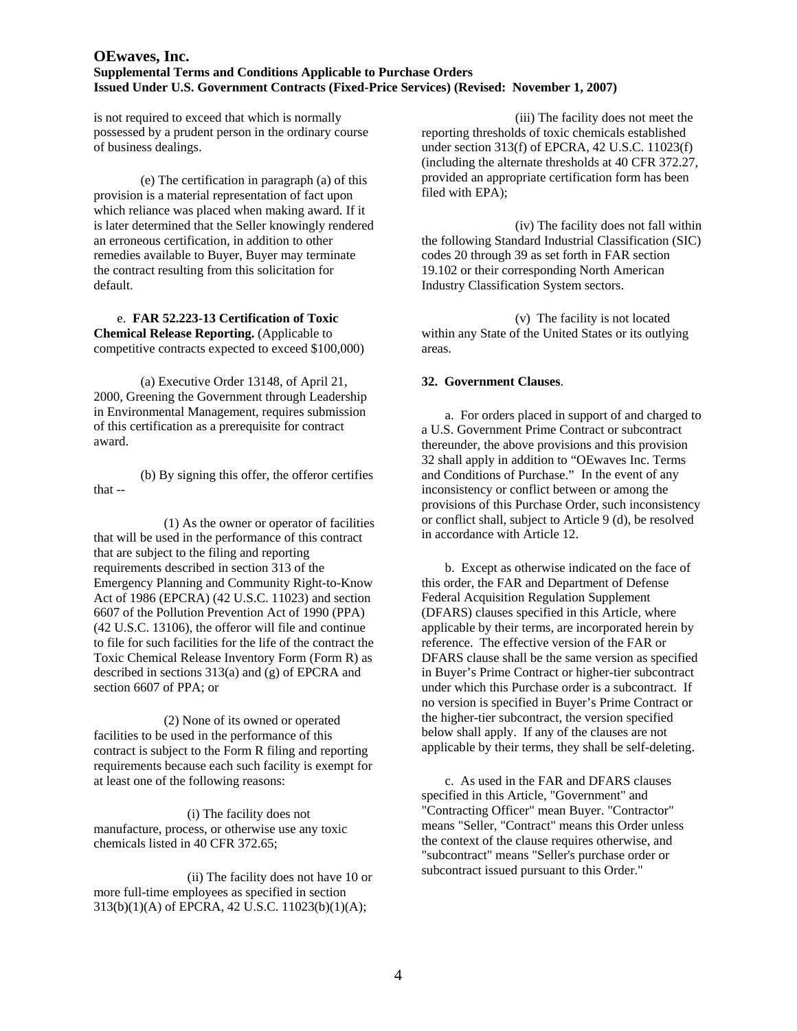is not required to exceed that which is normally possessed by a prudent person in the ordinary course of business dealings.

(e) The certification in paragraph (a) of this provision is a material representation of fact upon which reliance was placed when making award. If it is later determined that the Seller knowingly rendered an erroneous certification, in addition to other remedies available to Buyer, Buyer may terminate the contract resulting from this solicitation for default.

#### e. **FAR 52.223-13 Certification of Toxic Chemical Release Reporting.** (Applicable to competitive contracts expected to exceed \$100,000)

(a) Executive Order 13148, of April 21, 2000, Greening the Government through Leadership in Environmental Management, requires submission of this certification as a prerequisite for contract award.

(b) By signing this offer, the offeror certifies that --

(1) As the owner or operator of facilities that will be used in the performance of this contract that are subject to the filing and reporting requirements described in section 313 of the Emergency Planning and Community Right-to-Know Act of 1986 (EPCRA) (42 U.S.C. 11023) and section 6607 of the Pollution Prevention Act of 1990 (PPA) (42 U.S.C. 13106), the offeror will file and continue to file for such facilities for the life of the contract the Toxic Chemical Release Inventory Form (Form R) as described in sections 313(a) and (g) of EPCRA and section 6607 of PPA; or

(2) None of its owned or operated facilities to be used in the performance of this contract is subject to the Form R filing and reporting requirements because each such facility is exempt for at least one of the following reasons:

(i) The facility does not manufacture, process, or otherwise use any toxic chemicals listed in 40 CFR 372.65;

(ii) The facility does not have 10 or more full-time employees as specified in section 313(b)(1)(A) of EPCRA, 42 U.S.C. 11023(b)(1)(A);

(iii) The facility does not meet the reporting thresholds of toxic chemicals established under section 313(f) of EPCRA, 42 U.S.C. 11023(f) (including the alternate thresholds at 40 CFR 372.27, provided an appropriate certification form has been filed with EPA);

(iv) The facility does not fall within the following Standard Industrial Classification (SIC) codes 20 through 39 as set forth in FAR section 19.102 or their corresponding North American Industry Classification System sectors.

(v) The facility is not located within any State of the United States or its outlying areas.

## **32. Government Clauses**.

a. For orders placed in support of and charged to a U.S. Government Prime Contract or subcontract thereunder, the above provisions and this provision 32 shall apply in addition to "OEwaves Inc. Terms and Conditions of Purchase." In the event of any inconsistency or conflict between or among the provisions of this Purchase Order, such inconsistency or conflict shall, subject to Article 9 (d), be resolved in accordance with Article 12.

b. Except as otherwise indicated on the face of this order, the FAR and Department of Defense Federal Acquisition Regulation Supplement (DFARS) clauses specified in this Article, where applicable by their terms, are incorporated herein by reference. The effective version of the FAR or DFARS clause shall be the same version as specified in Buyer's Prime Contract or higher-tier subcontract under which this Purchase order is a subcontract. If no version is specified in Buyer's Prime Contract or the higher-tier subcontract, the version specified below shall apply. If any of the clauses are not applicable by their terms, they shall be self-deleting.

c. As used in the FAR and DFARS clauses specified in this Article, "Government" and "Contracting Officer" mean Buyer. "Contractor" means "Seller, "Contract" means this Order unless the context of the clause requires otherwise, and "subcontract" means "Seller's purchase order or subcontract issued pursuant to this Order."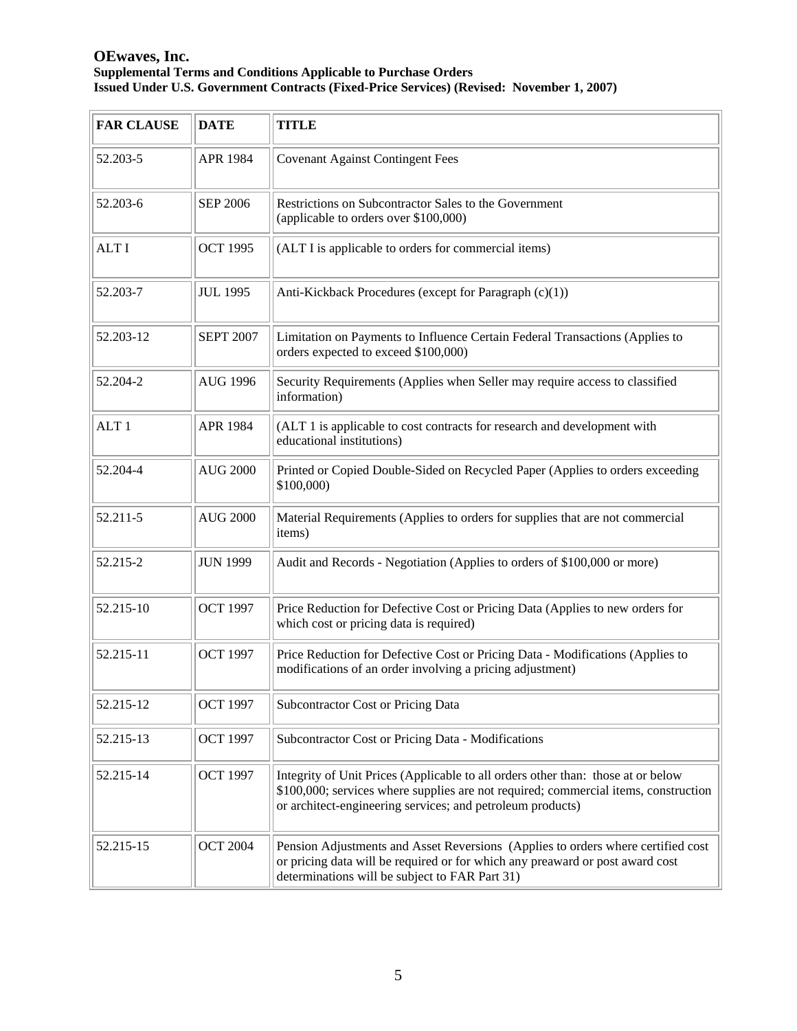| <b>FAR CLAUSE</b> | <b>DATE</b>      | <b>TITLE</b>                                                                                                                                                                                                                          |
|-------------------|------------------|---------------------------------------------------------------------------------------------------------------------------------------------------------------------------------------------------------------------------------------|
| 52.203-5          | APR 1984         | <b>Covenant Against Contingent Fees</b>                                                                                                                                                                                               |
| 52.203-6          | <b>SEP 2006</b>  | Restrictions on Subcontractor Sales to the Government<br>(applicable to orders over \$100,000)                                                                                                                                        |
| <b>ALTI</b>       | <b>OCT 1995</b>  | (ALT I is applicable to orders for commercial items)                                                                                                                                                                                  |
| 52.203-7          | <b>JUL 1995</b>  | Anti-Kickback Procedures (except for Paragraph (c)(1))                                                                                                                                                                                |
| 52.203-12         | <b>SEPT 2007</b> | Limitation on Payments to Influence Certain Federal Transactions (Applies to<br>orders expected to exceed \$100,000)                                                                                                                  |
| 52.204-2          | <b>AUG 1996</b>  | Security Requirements (Applies when Seller may require access to classified<br>information)                                                                                                                                           |
| ALT <sub>1</sub>  | APR 1984         | (ALT 1 is applicable to cost contracts for research and development with<br>educational institutions)                                                                                                                                 |
| 52.204-4          | <b>AUG 2000</b>  | Printed or Copied Double-Sided on Recycled Paper (Applies to orders exceeding<br>\$100,000)                                                                                                                                           |
| 52.211-5          | <b>AUG 2000</b>  | Material Requirements (Applies to orders for supplies that are not commercial<br>items)                                                                                                                                               |
| 52.215-2          | <b>JUN 1999</b>  | Audit and Records - Negotiation (Applies to orders of \$100,000 or more)                                                                                                                                                              |
| 52.215-10         | <b>OCT 1997</b>  | Price Reduction for Defective Cost or Pricing Data (Applies to new orders for<br>which cost or pricing data is required)                                                                                                              |
| 52.215-11         | <b>OCT 1997</b>  | Price Reduction for Defective Cost or Pricing Data - Modifications (Applies to<br>modifications of an order involving a pricing adjustment)                                                                                           |
| 52.215-12         | <b>OCT 1997</b>  | Subcontractor Cost or Pricing Data                                                                                                                                                                                                    |
| 52.215-13         | <b>OCT 1997</b>  | Subcontractor Cost or Pricing Data - Modifications                                                                                                                                                                                    |
| 52.215-14         | <b>OCT 1997</b>  | Integrity of Unit Prices (Applicable to all orders other than: those at or below<br>\$100,000; services where supplies are not required; commercial items, construction<br>or architect-engineering services; and petroleum products) |
| 52.215-15         | <b>OCT 2004</b>  | Pension Adjustments and Asset Reversions (Applies to orders where certified cost<br>or pricing data will be required or for which any preaward or post award cost<br>determinations will be subject to FAR Part 31)                   |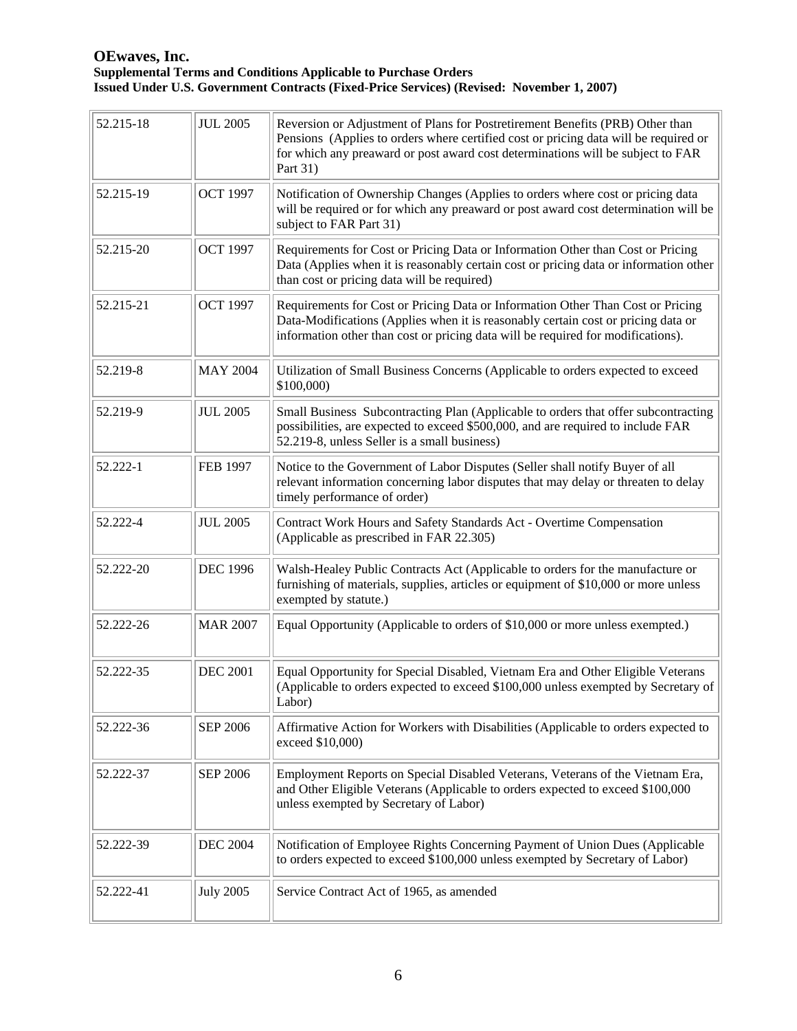| 52.215-18 | <b>JUL 2005</b>  | Reversion or Adjustment of Plans for Postretirement Benefits (PRB) Other than<br>Pensions (Applies to orders where certified cost or pricing data will be required or<br>for which any preaward or post award cost determinations will be subject to FAR<br>Part 31) |
|-----------|------------------|----------------------------------------------------------------------------------------------------------------------------------------------------------------------------------------------------------------------------------------------------------------------|
| 52.215-19 | <b>OCT 1997</b>  | Notification of Ownership Changes (Applies to orders where cost or pricing data<br>will be required or for which any preaward or post award cost determination will be<br>subject to FAR Part 31)                                                                    |
| 52.215-20 | <b>OCT 1997</b>  | Requirements for Cost or Pricing Data or Information Other than Cost or Pricing<br>Data (Applies when it is reasonably certain cost or pricing data or information other<br>than cost or pricing data will be required)                                              |
| 52.215-21 | <b>OCT 1997</b>  | Requirements for Cost or Pricing Data or Information Other Than Cost or Pricing<br>Data-Modifications (Applies when it is reasonably certain cost or pricing data or<br>information other than cost or pricing data will be required for modifications).             |
| 52.219-8  | <b>MAY 2004</b>  | Utilization of Small Business Concerns (Applicable to orders expected to exceed<br>\$100,000)                                                                                                                                                                        |
| 52.219-9  | <b>JUL 2005</b>  | Small Business Subcontracting Plan (Applicable to orders that offer subcontracting<br>possibilities, are expected to exceed \$500,000, and are required to include FAR<br>52.219-8, unless Seller is a small business)                                               |
| 52.222-1  | <b>FEB 1997</b>  | Notice to the Government of Labor Disputes (Seller shall notify Buyer of all<br>relevant information concerning labor disputes that may delay or threaten to delay<br>timely performance of order)                                                                   |
| 52.222-4  | <b>JUL 2005</b>  | Contract Work Hours and Safety Standards Act - Overtime Compensation<br>(Applicable as prescribed in FAR 22.305)                                                                                                                                                     |
| 52.222-20 | <b>DEC 1996</b>  | Walsh-Healey Public Contracts Act (Applicable to orders for the manufacture or<br>furnishing of materials, supplies, articles or equipment of \$10,000 or more unless<br>exempted by statute.)                                                                       |
| 52.222-26 | <b>MAR 2007</b>  | Equal Opportunity (Applicable to orders of \$10,000 or more unless exempted.)                                                                                                                                                                                        |
| 52.222-35 | <b>DEC 2001</b>  | Equal Opportunity for Special Disabled, Vietnam Era and Other Eligible Veterans<br>(Applicable to orders expected to exceed \$100,000 unless exempted by Secretary of<br>Labor)                                                                                      |
| 52.222-36 | <b>SEP 2006</b>  | Affirmative Action for Workers with Disabilities (Applicable to orders expected to<br>exceed \$10,000)                                                                                                                                                               |
| 52.222-37 | <b>SEP 2006</b>  | Employment Reports on Special Disabled Veterans, Veterans of the Vietnam Era,<br>and Other Eligible Veterans (Applicable to orders expected to exceed \$100,000<br>unless exempted by Secretary of Labor)                                                            |
| 52.222-39 | <b>DEC 2004</b>  | Notification of Employee Rights Concerning Payment of Union Dues (Applicable<br>to orders expected to exceed \$100,000 unless exempted by Secretary of Labor)                                                                                                        |
| 52.222-41 | <b>July 2005</b> | Service Contract Act of 1965, as amended                                                                                                                                                                                                                             |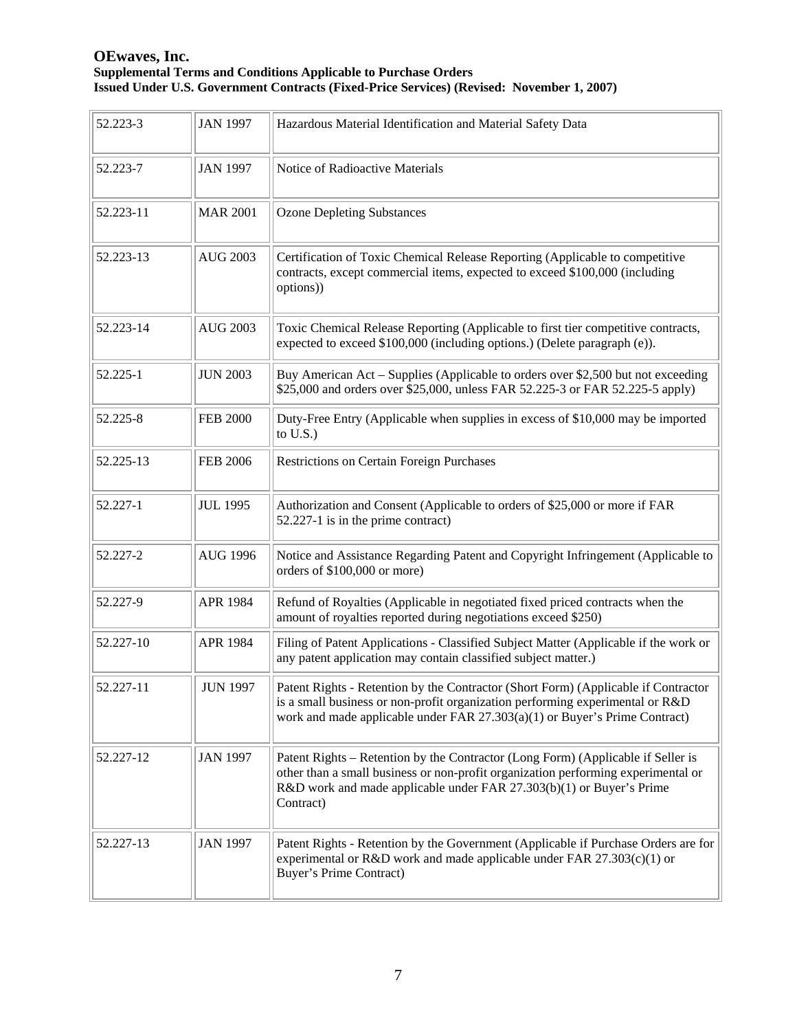| 52.223-3  | <b>JAN 1997</b> | Hazardous Material Identification and Material Safety Data                                                                                                                                                                                                 |
|-----------|-----------------|------------------------------------------------------------------------------------------------------------------------------------------------------------------------------------------------------------------------------------------------------------|
| 52.223-7  | <b>JAN 1997</b> | Notice of Radioactive Materials                                                                                                                                                                                                                            |
| 52.223-11 | <b>MAR 2001</b> | <b>Ozone Depleting Substances</b>                                                                                                                                                                                                                          |
| 52.223-13 | <b>AUG 2003</b> | Certification of Toxic Chemical Release Reporting (Applicable to competitive<br>contracts, except commercial items, expected to exceed \$100,000 (including<br>options))                                                                                   |
| 52.223-14 | <b>AUG 2003</b> | Toxic Chemical Release Reporting (Applicable to first tier competitive contracts,<br>expected to exceed \$100,000 (including options.) (Delete paragraph (e)).                                                                                             |
| 52.225-1  | <b>JUN 2003</b> | Buy American Act – Supplies (Applicable to orders over \$2,500 but not exceeding<br>\$25,000 and orders over \$25,000, unless FAR 52.225-3 or FAR 52.225-5 apply)                                                                                          |
| 52.225-8  | <b>FEB 2000</b> | Duty-Free Entry (Applicable when supplies in excess of \$10,000 may be imported<br>to $U.S.$ )                                                                                                                                                             |
| 52.225-13 | <b>FEB 2006</b> | <b>Restrictions on Certain Foreign Purchases</b>                                                                                                                                                                                                           |
| 52.227-1  | <b>JUL 1995</b> | Authorization and Consent (Applicable to orders of \$25,000 or more if FAR<br>52.227-1 is in the prime contract)                                                                                                                                           |
| 52.227-2  | <b>AUG 1996</b> | Notice and Assistance Regarding Patent and Copyright Infringement (Applicable to<br>orders of \$100,000 or more)                                                                                                                                           |
| 52.227-9  | APR 1984        | Refund of Royalties (Applicable in negotiated fixed priced contracts when the<br>amount of royalties reported during negotiations exceed \$250)                                                                                                            |
| 52.227-10 | APR 1984        | Filing of Patent Applications - Classified Subject Matter (Applicable if the work or<br>any patent application may contain classified subject matter.)                                                                                                     |
| 52.227-11 | <b>JUN 1997</b> | Patent Rights - Retention by the Contractor (Short Form) (Applicable if Contractor<br>is a small business or non-profit organization performing experimental or R&D<br>work and made applicable under FAR 27.303(a)(1) or Buyer's Prime Contract)          |
| 52.227-12 | <b>JAN 1997</b> | Patent Rights – Retention by the Contractor (Long Form) (Applicable if Seller is<br>other than a small business or non-profit organization performing experimental or<br>R&D work and made applicable under FAR 27.303(b)(1) or Buyer's Prime<br>Contract) |
| 52.227-13 | <b>JAN 1997</b> | Patent Rights - Retention by the Government (Applicable if Purchase Orders are for<br>experimental or R&D work and made applicable under FAR $27.303(c)(1)$ or<br>Buyer's Prime Contract)                                                                  |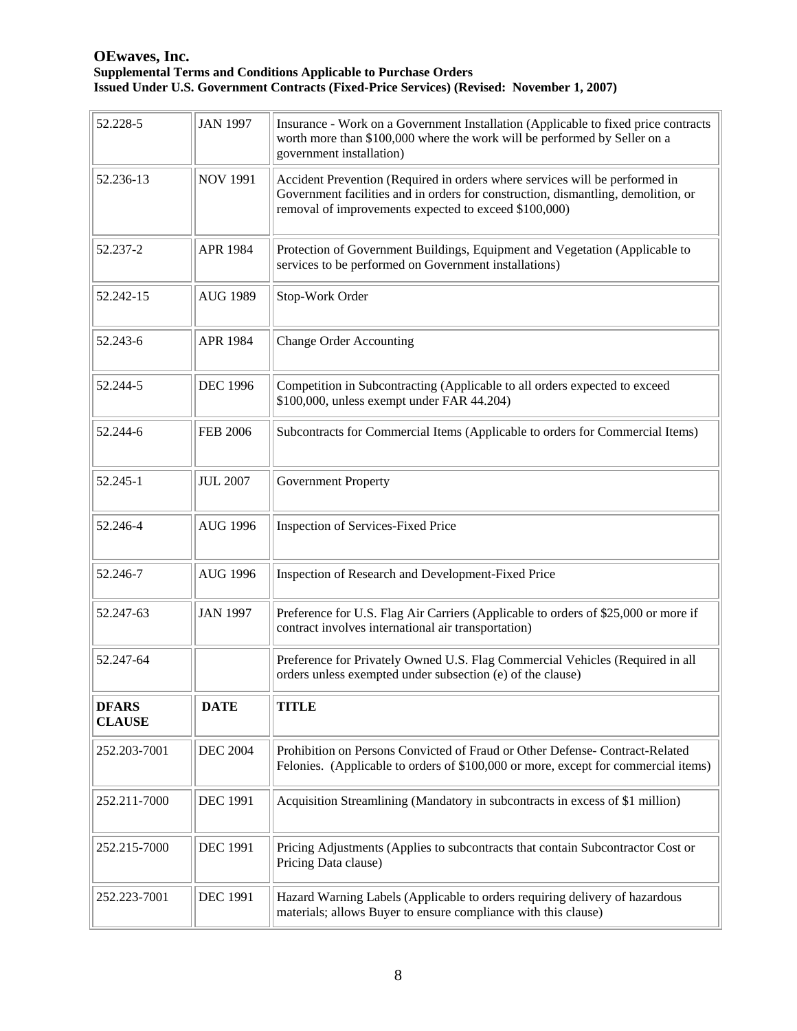| 52.228-5                      | <b>JAN 1997</b> | Insurance - Work on a Government Installation (Applicable to fixed price contracts<br>worth more than \$100,000 where the work will be performed by Seller on a<br>government installation)                               |
|-------------------------------|-----------------|---------------------------------------------------------------------------------------------------------------------------------------------------------------------------------------------------------------------------|
| 52.236-13                     | <b>NOV 1991</b> | Accident Prevention (Required in orders where services will be performed in<br>Government facilities and in orders for construction, dismantling, demolition, or<br>removal of improvements expected to exceed \$100,000) |
| 52.237-2                      | <b>APR 1984</b> | Protection of Government Buildings, Equipment and Vegetation (Applicable to<br>services to be performed on Government installations)                                                                                      |
| 52.242-15                     | <b>AUG 1989</b> | Stop-Work Order                                                                                                                                                                                                           |
| 52.243-6                      | <b>APR 1984</b> | <b>Change Order Accounting</b>                                                                                                                                                                                            |
| 52.244-5                      | <b>DEC 1996</b> | Competition in Subcontracting (Applicable to all orders expected to exceed<br>\$100,000, unless exempt under FAR 44.204)                                                                                                  |
| 52.244-6                      | <b>FEB 2006</b> | Subcontracts for Commercial Items (Applicable to orders for Commercial Items)                                                                                                                                             |
| 52.245-1                      | <b>JUL 2007</b> | <b>Government Property</b>                                                                                                                                                                                                |
| 52.246-4                      | <b>AUG 1996</b> | Inspection of Services-Fixed Price                                                                                                                                                                                        |
| 52.246-7                      | <b>AUG 1996</b> | Inspection of Research and Development-Fixed Price                                                                                                                                                                        |
| 52.247-63                     | <b>JAN 1997</b> | Preference for U.S. Flag Air Carriers (Applicable to orders of \$25,000 or more if<br>contract involves international air transportation)                                                                                 |
| 52.247-64                     |                 | Preference for Privately Owned U.S. Flag Commercial Vehicles (Required in all<br>orders unless exempted under subsection (e) of the clause)                                                                               |
| <b>DFARS</b><br><b>CLAUSE</b> | <b>DATE</b>     | <b>TITLE</b>                                                                                                                                                                                                              |
| 252.203-7001                  | <b>DEC 2004</b> | Prohibition on Persons Convicted of Fraud or Other Defense- Contract-Related<br>Felonies. (Applicable to orders of \$100,000 or more, except for commercial items)                                                        |
| 252.211-7000                  | <b>DEC 1991</b> | Acquisition Streamlining (Mandatory in subcontracts in excess of \$1 million)                                                                                                                                             |
| 252.215-7000                  | <b>DEC 1991</b> | Pricing Adjustments (Applies to subcontracts that contain Subcontractor Cost or<br>Pricing Data clause)                                                                                                                   |
| 252.223-7001                  | <b>DEC 1991</b> | Hazard Warning Labels (Applicable to orders requiring delivery of hazardous<br>materials; allows Buyer to ensure compliance with this clause)                                                                             |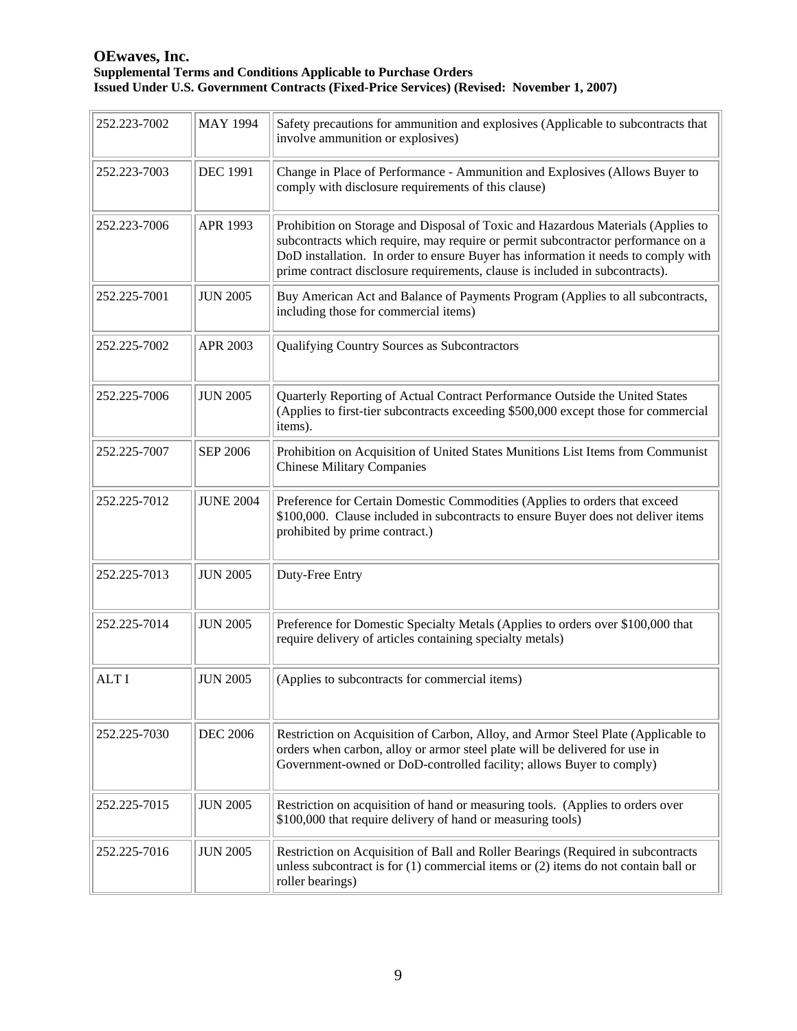| 252.223-7002 | <b>MAY 1994</b>  | Safety precautions for ammunition and explosives (Applicable to subcontracts that<br>involve ammunition or explosives)                                                                                                                                                                                                                     |
|--------------|------------------|--------------------------------------------------------------------------------------------------------------------------------------------------------------------------------------------------------------------------------------------------------------------------------------------------------------------------------------------|
| 252.223-7003 | <b>DEC 1991</b>  | Change in Place of Performance - Ammunition and Explosives (Allows Buyer to<br>comply with disclosure requirements of this clause)                                                                                                                                                                                                         |
| 252.223-7006 | APR 1993         | Prohibition on Storage and Disposal of Toxic and Hazardous Materials (Applies to<br>subcontracts which require, may require or permit subcontractor performance on a<br>DoD installation. In order to ensure Buyer has information it needs to comply with<br>prime contract disclosure requirements, clause is included in subcontracts). |
| 252.225-7001 | <b>JUN 2005</b>  | Buy American Act and Balance of Payments Program (Applies to all subcontracts,<br>including those for commercial items)                                                                                                                                                                                                                    |
| 252.225-7002 | APR 2003         | Qualifying Country Sources as Subcontractors                                                                                                                                                                                                                                                                                               |
| 252.225-7006 | <b>JUN 2005</b>  | Quarterly Reporting of Actual Contract Performance Outside the United States<br>(Applies to first-tier subcontracts exceeding \$500,000 except those for commercial<br>items).                                                                                                                                                             |
| 252.225-7007 | <b>SEP 2006</b>  | Prohibition on Acquisition of United States Munitions List Items from Communist<br><b>Chinese Military Companies</b>                                                                                                                                                                                                                       |
| 252.225-7012 | <b>JUNE 2004</b> | Preference for Certain Domestic Commodities (Applies to orders that exceed<br>\$100,000. Clause included in subcontracts to ensure Buyer does not deliver items<br>prohibited by prime contract.)                                                                                                                                          |
| 252.225-7013 | <b>JUN 2005</b>  | Duty-Free Entry                                                                                                                                                                                                                                                                                                                            |
| 252.225-7014 | <b>JUN 2005</b>  | Preference for Domestic Specialty Metals (Applies to orders over \$100,000 that<br>require delivery of articles containing specialty metals)                                                                                                                                                                                               |
| <b>ALTI</b>  | <b>JUN 2005</b>  | (Applies to subcontracts for commercial items)                                                                                                                                                                                                                                                                                             |
| 252.225-7030 | <b>DEC 2006</b>  | Restriction on Acquisition of Carbon, Alloy, and Armor Steel Plate (Applicable to<br>orders when carbon, alloy or armor steel plate will be delivered for use in<br>Government-owned or DoD-controlled facility; allows Buyer to comply)                                                                                                   |
| 252.225-7015 | <b>JUN 2005</b>  | Restriction on acquisition of hand or measuring tools. (Applies to orders over<br>\$100,000 that require delivery of hand or measuring tools)                                                                                                                                                                                              |
| 252.225-7016 | <b>JUN 2005</b>  | Restriction on Acquisition of Ball and Roller Bearings (Required in subcontracts<br>unless subcontract is for $(1)$ commercial items or $(2)$ items do not contain ball or<br>roller bearings)                                                                                                                                             |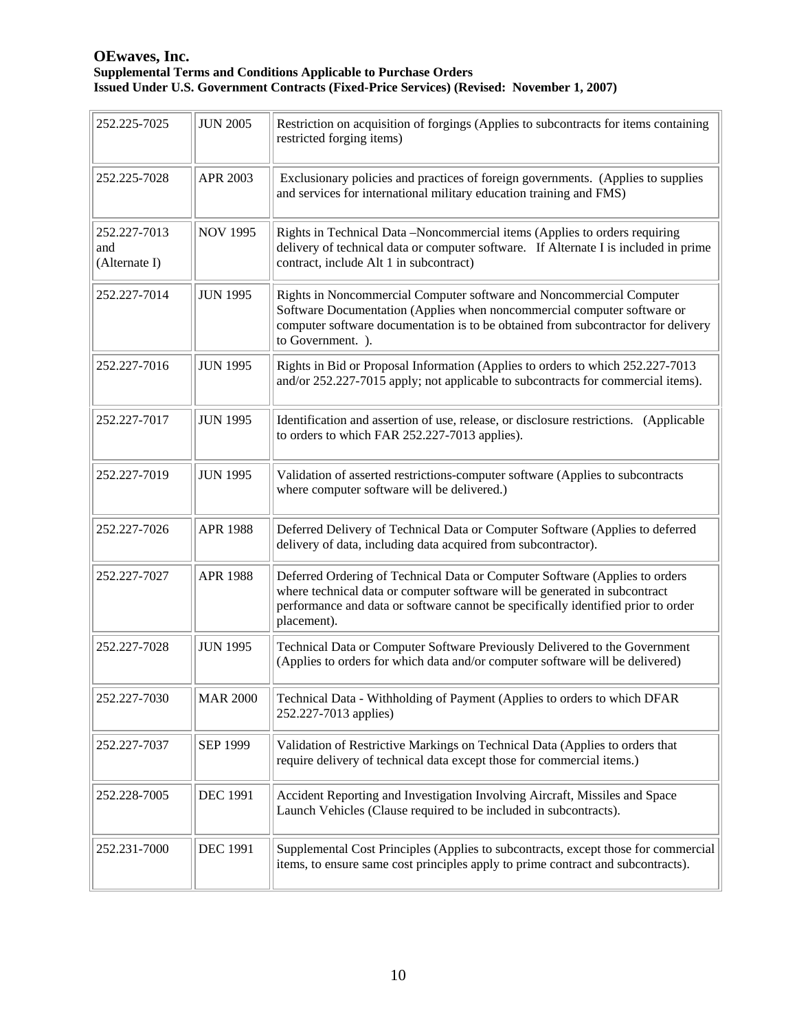| 252.225-7025                         | <b>JUN 2005</b> | Restriction on acquisition of forgings (Applies to subcontracts for items containing<br>restricted forging items)                                                                                                                                             |
|--------------------------------------|-----------------|---------------------------------------------------------------------------------------------------------------------------------------------------------------------------------------------------------------------------------------------------------------|
| 252.225-7028                         | APR 2003        | Exclusionary policies and practices of foreign governments. (Applies to supplies<br>and services for international military education training and FMS)                                                                                                       |
| 252.227-7013<br>and<br>(Alternate I) | <b>NOV 1995</b> | Rights in Technical Data -Noncommercial items (Applies to orders requiring<br>delivery of technical data or computer software. If Alternate I is included in prime<br>contract, include Alt 1 in subcontract)                                                 |
| 252.227-7014                         | <b>JUN 1995</b> | Rights in Noncommercial Computer software and Noncommercial Computer<br>Software Documentation (Applies when noncommercial computer software or<br>computer software documentation is to be obtained from subcontractor for delivery<br>to Government. ).     |
| 252.227-7016                         | <b>JUN 1995</b> | Rights in Bid or Proposal Information (Applies to orders to which 252.227-7013<br>and/or 252.227-7015 apply; not applicable to subcontracts for commercial items).                                                                                            |
| 252.227-7017                         | <b>JUN 1995</b> | Identification and assertion of use, release, or disclosure restrictions. (Applicable<br>to orders to which FAR 252.227-7013 applies).                                                                                                                        |
| 252.227-7019                         | <b>JUN 1995</b> | Validation of asserted restrictions-computer software (Applies to subcontracts<br>where computer software will be delivered.)                                                                                                                                 |
| 252.227-7026                         | <b>APR 1988</b> | Deferred Delivery of Technical Data or Computer Software (Applies to deferred<br>delivery of data, including data acquired from subcontractor).                                                                                                               |
| 252.227-7027                         | <b>APR 1988</b> | Deferred Ordering of Technical Data or Computer Software (Applies to orders<br>where technical data or computer software will be generated in subcontract<br>performance and data or software cannot be specifically identified prior to order<br>placement). |
| 252.227-7028                         | <b>JUN 1995</b> | Technical Data or Computer Software Previously Delivered to the Government<br>(Applies to orders for which data and/or computer software will be delivered)                                                                                                   |
| 252.227-7030                         |                 | MAR 2000   Technical Data - Withholding of Payment (Applies to orders to which DFAR<br>252.227-7013 applies)                                                                                                                                                  |
| 252.227-7037                         | SEP 1999        | Validation of Restrictive Markings on Technical Data (Applies to orders that<br>require delivery of technical data except those for commercial items.)                                                                                                        |
| 252.228-7005                         | <b>DEC 1991</b> | Accident Reporting and Investigation Involving Aircraft, Missiles and Space<br>Launch Vehicles (Clause required to be included in subcontracts).                                                                                                              |
| 252.231-7000                         | <b>DEC 1991</b> | Supplemental Cost Principles (Applies to subcontracts, except those for commercial<br>items, to ensure same cost principles apply to prime contract and subcontracts).                                                                                        |